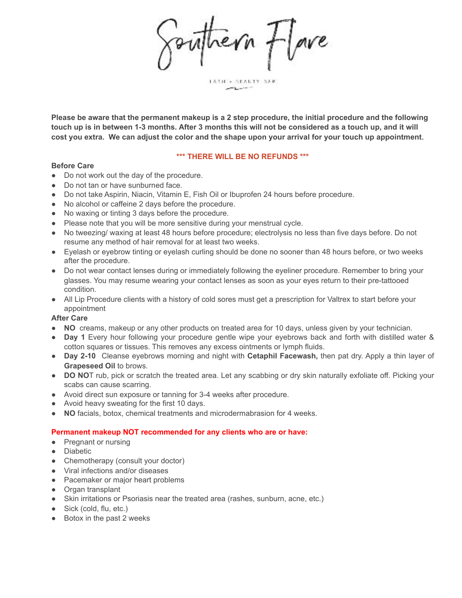revn flave

LASH + BEACTY BAR

**Please be aware that the permanent makeup is a 2 step procedure, the initial procedure and the following touch up is in between 1-3 months. After 3 months this will not be considered as a touch up, and it will cost you extra. We can adjust the color and the shape upon your arrival for your touch up appointment**.

#### **\*\*\* THERE WILL BE NO REFUNDS \*\*\***

#### **Before Care**

- Do not work out the day of the procedure.
- Do not tan or have sunburned face.
- Do not take Aspirin, Niacin, Vitamin E, Fish Oil or Ibuprofen 24 hours before procedure.
- No alcohol or caffeine 2 days before the procedure.
- No waxing or tinting 3 days before the procedure.
- Please note that you will be more sensitive during your menstrual cycle.
- No tweezing/ waxing at least 48 hours before procedure; electrolysis no less than five days before. Do not resume any method of hair removal for at least two weeks.
- Eyelash or eyebrow tinting or eyelash curling should be done no sooner than 48 hours before, or two weeks after the procedure.
- Do not wear contact lenses during or immediately following the eyeliner procedure. Remember to bring your glasses. You may resume wearing your contact lenses as soon as your eyes return to their pre-tattooed condition.
- All Lip Procedure clients with a history of cold sores must get a prescription for Valtrex to start before your appointment

#### **After Care**

- **● NO** creams, makeup or any other products on treated area for 10 days, unless given by your technician.
- **Day 1** Every hour following your procedure gentle wipe your eyebrows back and forth with distilled water & cotton squares or tissues. This removes any excess ointments or lymph fluids.
- **Day 2-10** Cleanse eyebrows morning and night with **Cetaphil Facewash,** then pat dry. Apply a thin layer of **Grapeseed Oil** to brows.
- **DO NO**T rub, pick or scratch the treated area. Let any scabbing or dry skin naturally exfoliate off. Picking your scabs can cause scarring.
- Avoid direct sun exposure or tanning for 3-4 weeks after procedure.
- Avoid heavy sweating for the first 10 days.
- **NO** facials, botox, chemical treatments and microdermabrasion for 4 weeks.

#### **Permanent makeup NOT recommended for any clients who are or have:**

- Pregnant or nursing
- Diabetic
- Chemotherapy (consult your doctor)
- Viral infections and/or diseases
- Pacemaker or major heart problems
- Organ transplant
- Skin irritations or Psoriasis near the treated area (rashes, sunburn, acne, etc.)
- $\bullet$  Sick (cold, flu, etc.)
- Botox in the past 2 weeks